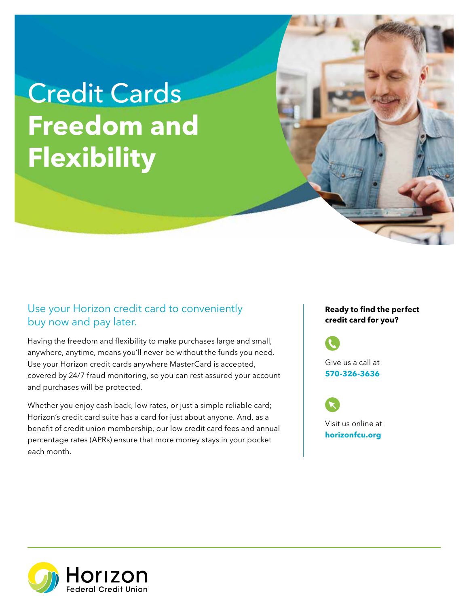## **Freedom and** Credit Cards **Flexibility**

## Use your Horizon credit card to conveniently buy now and pay later.

Having the freedom and flexibility to make purchases large and small, anywhere, anytime, means you'll never be without the funds you need. Use your Horizon credit cards anywhere MasterCard is accepted, covered by 24/7 fraud monitoring, so you can rest assured your account and purchases will be protected.

Whether you enjoy cash back, low rates, or just a simple reliable card; Horizon's credit card suite has a card for just about anyone. And, as a benefit of credit union membership, our low credit card fees and annual percentage rates (APRs) ensure that more money stays in your pocket each month.

## **Ready to find the perfect credit card for you?**

Give us a call at **570-326-3636** 

Visit us online at **[horizonfcu.org](https://horizonfcu.org)**